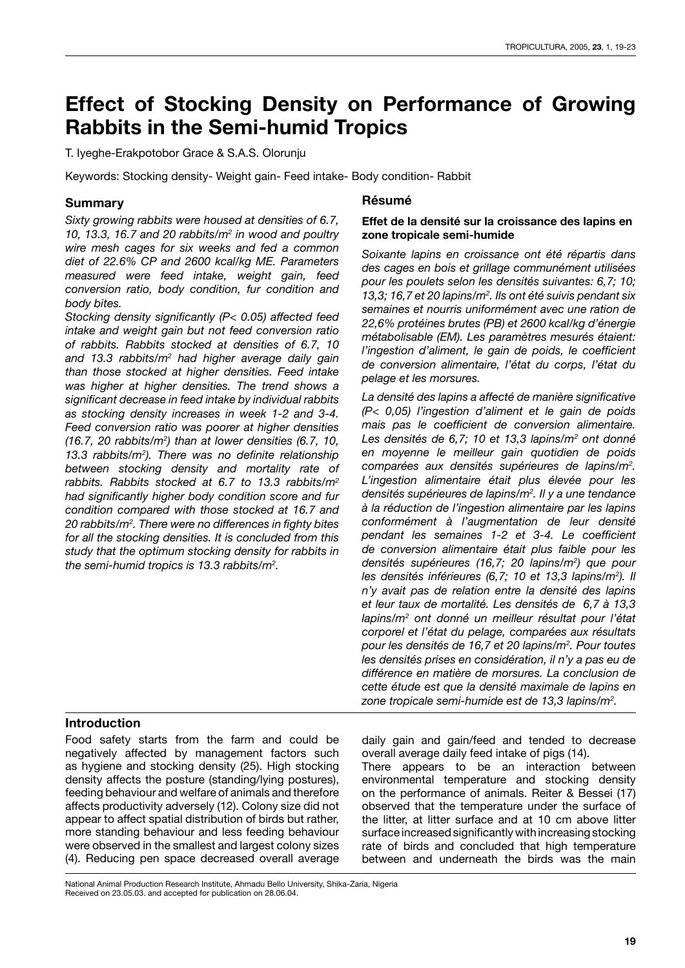# **Effect of Stocking Density on Performance of Growing Rabbits in the Semi-humid Tropics**

T. Iyeghe-Erakpotobor Grace & S.A.S. Olorunju

Keywords: Stocking density- Weight gain- Feed intake- Body condition- Rabbit

#### **Summary**

*Sixty growing rabbits were housed at densities of 6.7, 10, 13.3, 16.7 and 20 rabbits/m2 in wood and poultry wire mesh cages for six weeks and fed a common diet of 22.6% CP and 2600 kcal/kg ME. Parameters measured were feed intake, weight gain, feed conversion ratio, body condition, fur condition and body bites.*

*Stocking density significantly (P< 0.05) affected feed intake and weight gain but not feed conversion ratio of rabbits. Rabbits stocked at densities of 6.7, 10 and 13.3 rabbits/m2 had higher average daily gain than those stocked at higher densities. Feed intake was higher at higher densities. The trend shows a significant decrease in feed intake by individual rabbits as stocking density increases in week 1-2 and 3-4. Feed conversion ratio was poorer at higher densities (16.7, 20 rabbits/m2 ) than at lower densities (6.7, 10, 13.3 rabbits/m2 ). There was no definite relationship between stocking density and mortality rate of rabbits. Rabbits stocked at 6.7 to 13.3 rabbits/m2 had significantly higher body condition score and fur condition compared with those stocked at 16.7 and 20 rabbits/m2 . There were no differences in fighty bites for all the stocking densities. It is concluded from this study that the optimum stocking density for rabbits in the semi-humid tropics is 13.3 rabbits/m2 .*

#### **Résumé**

#### **Effet de la densité sur la croissance des lapins en zone tropicale semi-humide**

*Soixante lapins en croissance ont été répartis dans des cages en bois et grillage communément utilisées pour les poulets selon les densités suivantes: 6,7; 10; 13,3; 16,7 et 20 lapins/m2 . Ils ont été suivis pendant six semaines et nourris uniformément avec une ration de 22,6% protéines brutes (PB) et 2600 kcal/kg d'énergie métabolisable (EM). Les paramètres mesurés étaient: l'ingestion d'aliment, le gain de poids, le coefficient de conversion alimentaire, l'état du corps, l'état du pelage et les morsures.*

*La densité des lapins a affecté de manière significative (P< 0,05) l'ingestion d'aliment et le gain de poids mais pas le coefficient de conversion alimentaire. Les densités de 6,7; 10 et 13,3 lapins/m2 ont donné en moyenne le meilleur gain quotidien de poids comparées aux densités supérieures de lapins/m2 . L'ingestion alimentaire était plus élevée pour les densités supérieures de lapins/m2 . Il y a une tendance à la réduction de l'ingestion alimentaire par les lapins conformément à l'augmentation de leur densité pendant les semaines 1-2 et 3-4. Le coefficient de conversion alimentaire était plus faible pour les densités supérieures (16,7; 20 lapins/m2 ) que pour les densités inférieures (6,7; 10 et 13,3 lapins/m2 ). Il n'y avait pas de relation entre la densité des lapins et leur taux de mortalité. Les densités de 6,7 à 13,3 lapins/m2 ont donné un meilleur résultat pour l'état corporel et l'état du pelage, comparées aux résultats pour les densités de 16,7 et 20 lapins/m2 . Pour toutes les densités prises en considération, il n'y a pas eu de différence en matière de morsures. La conclusion de cette étude est que la densité maximale de lapins en zone tropicale semi-humide est de 13,3 lapins/m2 .*

# **Introduction**

Food safety starts from the farm and could be negatively affected by management factors such as hygiene and stocking density (25). High stocking density affects the posture (standing/lying postures), feeding behaviour and welfare of animals and therefore affects productivity adversely (12). Colony size did not appear to affect spatial distribution of birds but rather, more standing behaviour and less feeding behaviour were observed in the smallest and largest colony sizes (4). Reducing pen space decreased overall average daily gain and gain/feed and tended to decrease overall average daily feed intake of pigs (14).

There appears to be an interaction between environmental temperature and stocking density on the performance of animals. Reiter & Bessei (17) observed that the temperature under the surface of the litter, at litter surface and at 10 cm above litter surface increased significantly with increasing stocking rate of birds and concluded that high temperature between and underneath the birds was the main

National Animal Production Research Institute, Ahmadu Bello University, Shika-Zaria, Nigeria Received on 23.05.03. and accepted for publication on 28.06.04.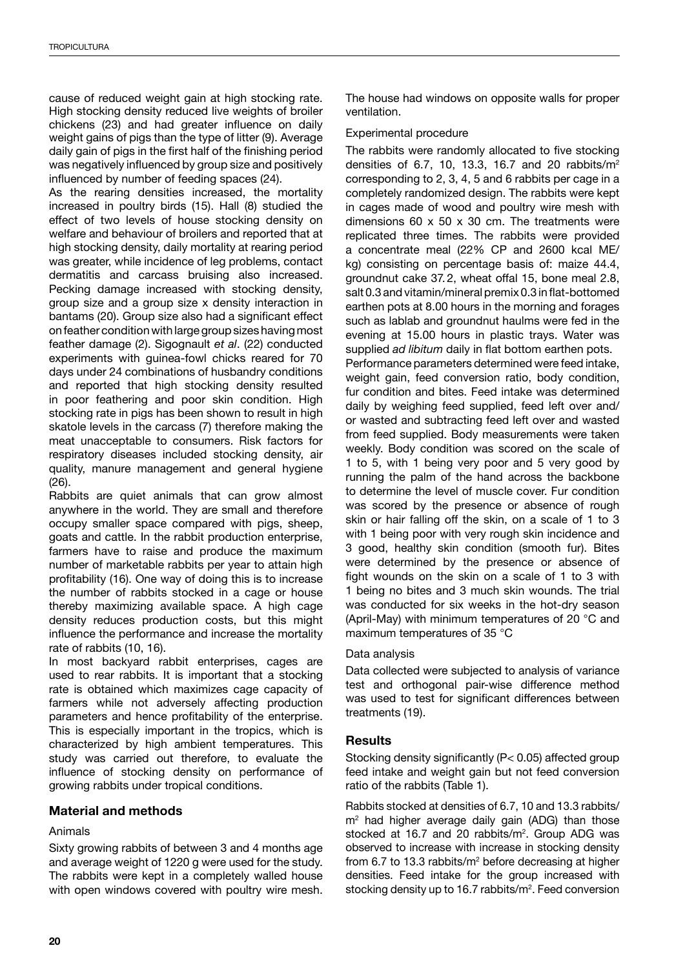cause of reduced weight gain at high stocking rate. High stocking density reduced live weights of broiler chickens (23) and had greater influence on daily weight gains of pigs than the type of litter (9). Average daily gain of pigs in the first half of the finishing period was negatively influenced by group size and positively influenced by number of feeding spaces (24).

As the rearing densities increased, the mortality increased in poultry birds (15). Hall (8) studied the effect of two levels of house stocking density on welfare and behaviour of broilers and reported that at high stocking density, daily mortality at rearing period was greater, while incidence of leg problems, contact dermatitis and carcass bruising also increased. Pecking damage increased with stocking density, group size and a group size x density interaction in bantams (20). Group size also had a significant effect on feather condition with large group sizes having most feather damage (2). Sigognault *et al*. (22) conducted experiments with guinea-fowl chicks reared for 70 days under 24 combinations of husbandry conditions and reported that high stocking density resulted in poor feathering and poor skin condition. High stocking rate in pigs has been shown to result in high skatole levels in the carcass (7) therefore making the meat unacceptable to consumers. Risk factors for respiratory diseases included stocking density, air quality, manure management and general hygiene (26).

Rabbits are quiet animals that can grow almost anywhere in the world. They are small and therefore occupy smaller space compared with pigs, sheep, goats and cattle. In the rabbit production enterprise, farmers have to raise and produce the maximum number of marketable rabbits per year to attain high profitability (16). One way of doing this is to increase the number of rabbits stocked in a cage or house thereby maximizing available space. A high cage density reduces production costs, but this might influence the performance and increase the mortality rate of rabbits (10, 16).

In most backyard rabbit enterprises, cages are used to rear rabbits. It is important that a stocking rate is obtained which maximizes cage capacity of farmers while not adversely affecting production parameters and hence profitability of the enterprise. This is especially important in the tropics, which is characterized by high ambient temperatures. This study was carried out therefore, to evaluate the influence of stocking density on performance of growing rabbits under tropical conditions.

### **Material and methods**

# Animals

Sixty growing rabbits of between 3 and 4 months age and average weight of 1220 g were used for the study. The rabbits were kept in a completely walled house with open windows covered with poultry wire mesh.

The house had windows on opposite walls for proper ventilation.

### Experimental procedure

The rabbits were randomly allocated to five stocking densities of 6.7, 10, 13.3, 16.7 and 20 rabbits/m2 corresponding to 2, 3, 4, 5 and 6 rabbits per cage in a completely randomized design. The rabbits were kept in cages made of wood and poultry wire mesh with dimensions 60 x 50 x 30 cm. The treatments were replicated three times. The rabbits were provided a concentrate meal (22% CP and 2600 kcal ME/ kg) consisting on percentage basis of: maize 44.4, groundnut cake 37.2, wheat offal 15, bone meal 2.8, .salt 0.3 and vitamin/mineral premix 0.3 in flat-bottomed earthen pots at 8.00 hours in the morning and forages such as lablab and groundnut haulms were fed in the evening at 15.00 hours in plastic trays. Water was supplied *ad libitum* daily in flat bottom earthen pots. Performance parameters determined were feed intake, weight gain, feed conversion ratio, body condition, fur condition and bites. Feed intake was determined

daily by weighing feed supplied, feed left over and/ or wasted and subtracting feed left over and wasted from feed supplied. Body measurements were taken weekly. Body condition was scored on the scale of 1 to 5, with 1 being very poor and 5 very good by running the palm of the hand across the backbone to determine the level of muscle cover. Fur condition was scored by the presence or absence of rough skin or hair falling off the skin, on a scale of 1 to 3 with 1 being poor with very rough skin incidence and 3 good, healthy skin condition (smooth fur). Bites were determined by the presence or absence of fight wounds on the skin on a scale of 1 to 3 with 1 being no bites and 3 much skin wounds. The trial was conducted for six weeks in the hot-dry season (April-May) with minimum temperatures of 20 °C and maximum temperatures of 35 °C

### Data analysis

Data collected were subjected to analysis of variance test and orthogonal pair-wise difference method was used to test for significant differences between treatments (19).

### **Results**

Stocking density significantly (P< 0.05) affected group feed intake and weight gain but not feed conversion ratio of the rabbits (Table 1).

Rabbits stocked at densities of 6.7, 10 and 13.3 rabbits/ m2 had higher average daily gain (ADG) than those stocked at 16.7 and 20 rabbits/ $m<sup>2</sup>$ . Group ADG was observed to increase with increase in stocking density from 6.7 to 13.3 rabbits/ $m<sup>2</sup>$  before decreasing at higher densities. Feed intake for the group increased with stocking density up to 16.7 rabbits/m<sup>2</sup>. Feed conversion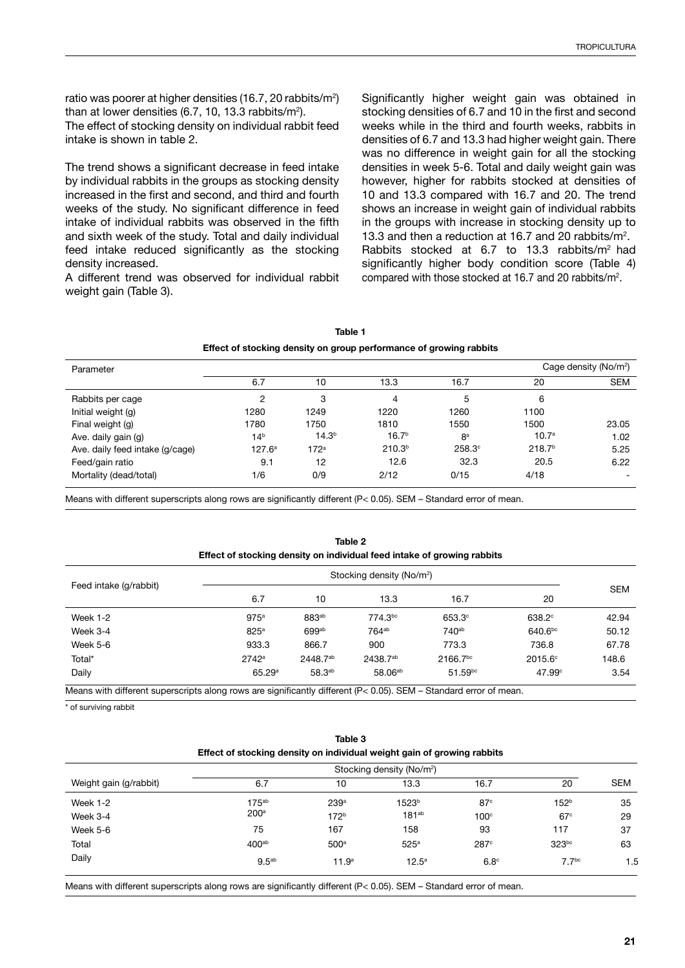ratio was poorer at higher densities (16.7, 20 rabbits/m<sup>2</sup>) than at lower densities (6.7, 10, 13.3 rabbits/m²).

The effect of stocking density on individual rabbit feed intake is shown in table 2.

The trend shows a significant decrease in feed intake by individual rabbits in the groups as stocking density increased in the first and second, and third and fourth weeks of the study. No significant difference in feed intake of individual rabbits was observed in the fifth and sixth week of the study. Total and daily individual feed intake reduced significantly as the stocking density increased.

A different trend was observed for individual rabbit weight gain (Table 3).

Significantly higher weight gain was obtained in stocking densities of 6.7 and 10 in the first and second weeks while in the third and fourth weeks, rabbits in densities of 6.7 and 13.3 had higher weight gain. There was no difference in weight gain for all the stocking densities in week 5-6. Total and daily weight gain was however, higher for rabbits stocked at densities of 10 and 13.3 compared with 16.7 and 20. The trend shows an increase in weight gain of individual rabbits in the groups with increase in stocking density up to 13.3 and then a reduction at 16.7 and 20 rabbits/m2 . Rabbits stocked at 6.7 to 13.3 rabbits/m<sup>2</sup> had significantly higher body condition score (Table 4) compared with those stocked at 16.7 and 20 rabbits/m2 .

|                                                                    | Table 1 |  |  |
|--------------------------------------------------------------------|---------|--|--|
| Effect of stocking density on group performance of growing rabbits |         |  |  |

| Parameter                       |                 |                   |                    |                |                    | Cage density (No/m <sup>2</sup> ) |
|---------------------------------|-----------------|-------------------|--------------------|----------------|--------------------|-----------------------------------|
|                                 | 6.7             | 10                | 13.3               | 16.7           | 20                 | <b>SEM</b>                        |
| Rabbits per cage                | 2               | 3                 | 4                  | 5              | 6                  |                                   |
| Initial weight (g)              | 1280            | 1249              | 1220               | 1260           | 1100               |                                   |
| Final weight (g)                | 1780            | 1750              | 1810               | 1550           | 1500               | 23.05                             |
| Ave. daily gain (g)             | 14 <sup>b</sup> | 14.3 <sup>b</sup> | 16.7 <sup>b</sup>  | 8 <sup>a</sup> | 10.7 <sup>a</sup>  | 1.02                              |
| Ave. daily feed intake (g/cage) | $127.6^{\circ}$ | 172 <sup>a</sup>  | 210.3 <sup>b</sup> | $258.3^\circ$  | 218.7 <sup>b</sup> | 5.25                              |
| Feed/gain ratio                 | 9.1             | 12                | 12.6               | 32.3           | 20.5               | 6.22                              |
| Mortality (dead/total)          | 1/6             | 0/9               | 2/12               | 0/15           | 4/18               |                                   |

Means with different superscripts along rows are significantly different (P< 0.05). SEM – Standard error of mean.

**Table 2 Effect of stocking density on individual feed intake of growing rabbits**

| Feed intake (g/rabbit) | Stocking density (No/m <sup>2</sup> ) |                      |                      |                      |                     |            |
|------------------------|---------------------------------------|----------------------|----------------------|----------------------|---------------------|------------|
|                        | 6.7                                   | 10                   | 13.3                 | 16.7                 | 20                  | <b>SEM</b> |
| <b>Week 1-2</b>        | 975a                                  | 883ab                | 774.3bc              | $653.3^\circ$        | $638.2^\circ$       | 42.94      |
| Week 3-4               | 825 <sup>a</sup>                      | 699ab                | 764 <sup>ab</sup>    | 740 <sup>ab</sup>    | 640.6 <sup>bc</sup> | 50.12      |
| Week 5-6               | 933.3                                 | 866.7                | 900                  | 773.3                | 736.8               | 67.78      |
| Total*                 | $2742^a$                              | 2448.7 <sup>ab</sup> | 2438.7 <sup>ab</sup> | 2166.7 <sup>bc</sup> | 2015.6°             | 148.6      |
| Daily                  | 65.29a                                | 58.3 <sup>ab</sup>   | 58.06 <sup>ab</sup>  | $51.59^{bc}$         | $47.99^\circ$       | 3.54       |

Means with different superscripts along rows are significantly different (P< 0.05). SEM – Standard error of mean.

\* of surviving rabbit

 $\mathbf{v}$ 

|        | Effect of stocking density on individual weight gain of growing rabbits | iavic J |                                       |      |    |     |
|--------|-------------------------------------------------------------------------|---------|---------------------------------------|------|----|-----|
|        |                                                                         |         | Stocking density (No/m <sup>2</sup> ) |      |    |     |
| abbit) | 6.7                                                                     |         | 13.3                                  | 16.7 | 20 | SEM |

**Table 3**

| <i>vveignt gain (g/rabbit)</i> | 6.1               | ιU                | 13.3              | 16.7             | 20                | <b>SEM</b> |
|--------------------------------|-------------------|-------------------|-------------------|------------------|-------------------|------------|
| <b>Week 1-2</b>                | 175 <sup>ab</sup> | 239 <sup>a</sup>  | 1523 <sup>b</sup> | 87 <sup>c</sup>  | 152 <sup>b</sup>  | 35         |
| Week 3-4                       | 200 <sup>a</sup>  | 172 <sup>b</sup>  | 181 <sup>ab</sup> | 100 <sup>c</sup> | 67 <sup>c</sup>   | 29         |
| Week 5-6                       | 75                | 167               | 158               | 93               | 117               | 37         |
| Total                          | 400 <sup>ab</sup> | 500 <sup>a</sup>  | 525 <sup>a</sup>  | 287c             | $323^{bc}$        | 63         |
| Daily                          | 9.5 <sup>ab</sup> | 11.9 <sup>a</sup> | $12.5^{\circ}$    | 6.8 <sup>c</sup> | 7.7 <sup>bc</sup> | 1.5        |
|                                |                   |                   |                   |                  |                   |            |

Means with different superscripts along rows are significantly different (P< 0.05). SEM - Standard error of mean.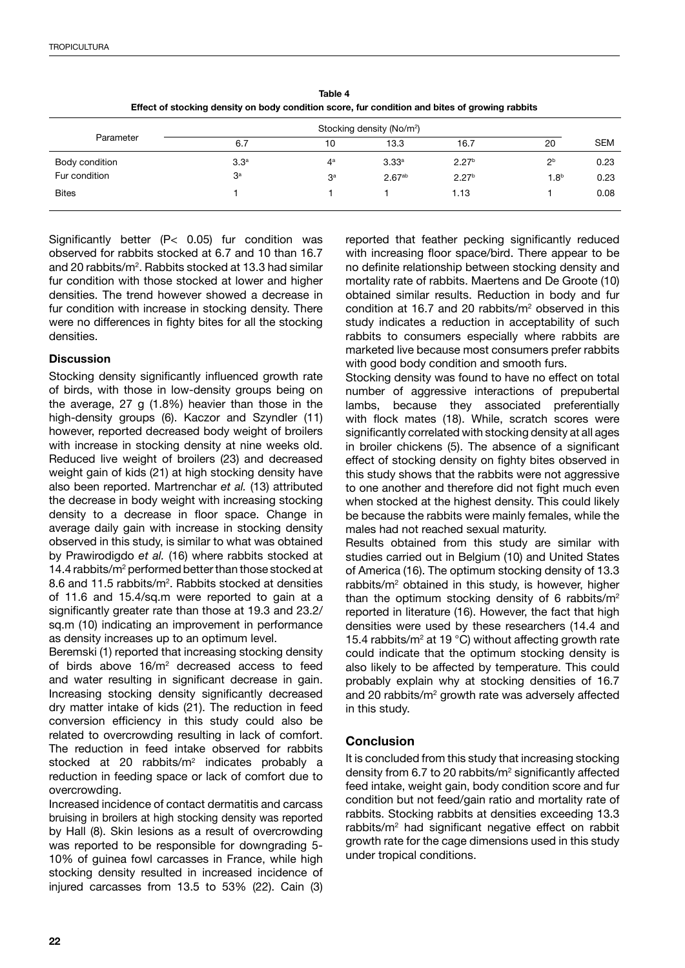|                | Stocking density (No/m <sup>2</sup> ) |                |                    |                   |                  |            |
|----------------|---------------------------------------|----------------|--------------------|-------------------|------------------|------------|
| Parameter      | 6.7                                   | 10             | 13.3               | 16.7              | 20               | <b>SEM</b> |
| Body condition | 3.3 <sup>a</sup>                      | 4ª             | 3.33a              | 2.27 <sup>b</sup> | 2 <sup>b</sup>   | 0.23       |
| Fur condition  | 3 <sup>a</sup>                        | 3 <sup>a</sup> | 2.67 <sup>ab</sup> | 2.27 <sup>b</sup> | 1.8 <sup>b</sup> | 0.23       |
| <b>Bites</b>   |                                       |                |                    | 1.13              |                  | 0.08       |

**Table 4 Effect of stocking density on body condition score, fur condition and bites of growing rabbits**

Significantly better (P< 0.05) fur condition was observed for rabbits stocked at 6.7 and 10 than 16.7 and 20 rabbits/m<sup>2</sup>. Rabbits stocked at 13.3 had similar fur condition with those stocked at lower and higher densities. The trend however showed a decrease in fur condition with increase in stocking density. There were no differences in fighty bites for all the stocking densities.

# **Discussion**

Stocking density significantly influenced growth rate of birds, with those in low-density groups being on the average, 27 g (1.8%) heavier than those in the high-density groups (6). Kaczor and Szyndler (11) however, reported decreased body weight of broilers with increase in stocking density at nine weeks old. Reduced live weight of broilers (23) and decreased weight gain of kids (21) at high stocking density have also been reported. Martrenchar *et al.* (13) attributed the decrease in body weight with increasing stocking density to a decrease in floor space. Change in average daily gain with increase in stocking density observed in this study, is similar to what was obtained by Prawirodigdo *et al.* (16) where rabbits stocked at 14.4 rabbits/m<sup>2</sup> performed better than those stocked at 8.6 and 11.5 rabbits/m<sup>2</sup>. Rabbits stocked at densities of 11.6 and 15.4/sq.m were reported to gain at a significantly greater rate than those at 19.3 and 23.2/ sq.m (10) indicating an improvement in performance as density increases up to an optimum level.

Beremski (1) reported that increasing stocking density of birds above 16/m<sup>2</sup> decreased access to feed and water resulting in significant decrease in gain. Increasing stocking density significantly decreased dry matter intake of kids (21). The reduction in feed conversion efficiency in this study could also be related to overcrowding resulting in lack of comfort. The reduction in feed intake observed for rabbits stocked at 20 rabbits/m<sup>2</sup> indicates probably a reduction in feeding space or lack of comfort due to overcrowding.

Increased incidence of contact dermatitis and carcass bruising in broilers at high stocking density was reported by Hall (8). Skin lesions as a result of overcrowding was reported to be responsible for downgrading 5- 10% of guinea fowl carcasses in France, while high stocking density resulted in increased incidence of injured carcasses from 13.5 to 53% (22). Cain (3) reported that feather pecking significantly reduced with increasing floor space/bird. There appear to be no definite relationship between stocking density and mortality rate of rabbits. Maertens and De Groote (10) obtained similar results. Reduction in body and fur condition at 16.7 and 20 rabbits/ $m<sup>2</sup>$  observed in this study indicates a reduction in acceptability of such rabbits to consumers especially where rabbits are marketed live because most consumers prefer rabbits with good body condition and smooth furs.

Stocking density was found to have no effect on total number of aggressive interactions of prepubertal lambs, because they associated preferentially with flock mates (18). While, scratch scores were significantly correlated with stocking density at all ages in broiler chickens (5). The absence of a significant effect of stocking density on fighty bites observed in this study shows that the rabbits were not aggressive to one another and therefore did not fight much even when stocked at the highest density. This could likely be because the rabbits were mainly females, while the males had not reached sexual maturity.

Results obtained from this study are similar with studies carried out in Belgium (10) and United States of America (16). The optimum stocking density of 13.3 rabbits/m<sup>2</sup> obtained in this study, is however, higher than the optimum stocking density of 6 rabbits/m<sup>2</sup> reported in literature (16). However, the fact that high densities were used by these researchers (14.4 and 15.4 rabbits/ $m^2$  at 19 °C) without affecting growth rate could indicate that the optimum stocking density is also likely to be affected by temperature. This could probably explain why at stocking densities of 16.7 and 20 rabbits/m<sup>2</sup> growth rate was adversely affected in this study.

# **Conclusion**

It is concluded from this study that increasing stocking density from 6.7 to 20 rabbits/m<sup>2</sup> significantly affected feed intake, weight gain, body condition score and fur condition but not feed/gain ratio and mortality rate of rabbits. Stocking rabbits at densities exceeding 13.3 rabbits/m2 had significant negative effect on rabbit growth rate for the cage dimensions used in this study under tropical conditions.